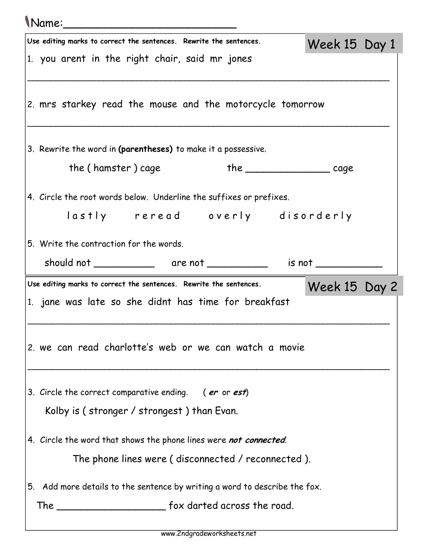## Name:\_\_\_\_\_\_\_\_\_\_\_\_\_\_\_\_\_\_\_\_\_\_\_\_\_

| Use editing marks to correct the sentences. Rewrite the sentences.         | Week 15 Day 1 |  |
|----------------------------------------------------------------------------|---------------|--|
| 1. you arent in the right chair, said mr jones                             |               |  |
|                                                                            |               |  |
| 2. mrs starkey read the mouse and the motorcycle tomorrow                  |               |  |
|                                                                            |               |  |
| 3. Rewrite the word in (parentheses) to make it a possessive.              |               |  |
| the (hamster) cage                                                         |               |  |
| the __________________________ cage                                        |               |  |
| 4. Circle the root words below. Underline the suffixes or prefixes.        |               |  |
| lastly reread overly disorderly                                            |               |  |
|                                                                            |               |  |
| 5. Write the contraction for the words.                                    |               |  |
|                                                                            |               |  |
| Use editing marks to correct the sentences. Rewrite the sentences.         |               |  |
|                                                                            | Week 15 Day 2 |  |
| 1. jane was late so she didnt has time for breakfast                       |               |  |
|                                                                            |               |  |
|                                                                            |               |  |
| 2. we can read charlotte's web or we can watch a movie                     |               |  |
|                                                                            |               |  |
| 3. Circle the correct comparative ending. (er or est)                      |               |  |
| Kolby is (stronger / strongest) than Evan.                                 |               |  |
|                                                                            |               |  |
| 4. Circle the word that shows the phone lines were not connected.          |               |  |
| The phone lines were (disconnected / reconnected).                         |               |  |
| 5. Add more details to the sentence by writing a word to describe the fox. |               |  |
|                                                                            |               |  |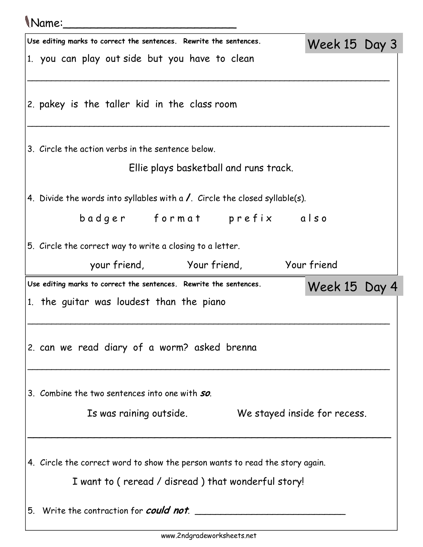## Name:\_\_\_\_\_\_\_\_\_\_\_\_\_\_\_\_\_\_\_\_\_\_\_\_\_

| Use editing marks to correct the sentences. Rewrite the sentences.                   |                                        | Week 15 Day 3                |  |
|--------------------------------------------------------------------------------------|----------------------------------------|------------------------------|--|
| 1. you can play out side but you have to clean                                       |                                        |                              |  |
| 2. pakey is the taller kid in the class room                                         |                                        |                              |  |
| 3. Circle the action verbs in the sentence below.                                    |                                        |                              |  |
|                                                                                      | Ellie plays basketball and runs track. |                              |  |
| 4. Divide the words into syllables with a $\lambda$ . Circle the closed syllable(s). |                                        |                              |  |
| badger format prefix also                                                            |                                        |                              |  |
| 5. Circle the correct way to write a closing to a letter.                            |                                        |                              |  |
| your friend, Your friend, Your friend                                                |                                        |                              |  |
|                                                                                      |                                        |                              |  |
| Use editing marks to correct the sentences. Rewrite the sentences.                   |                                        | Week 15 Day 4                |  |
| 1. the guitar was loudest than the piano                                             |                                        |                              |  |
| 2. can we read diary of a worm? asked brenna                                         |                                        |                              |  |
| 3. Combine the two sentences into one with <b>so</b> .                               |                                        |                              |  |
| Is was raining outside.                                                              |                                        | We stayed inside for recess. |  |
|                                                                                      |                                        |                              |  |
| 4. Circle the correct word to show the person wants to read the story again.         |                                        |                              |  |
| I want to (reread / disread) that wonderful story!                                   |                                        |                              |  |